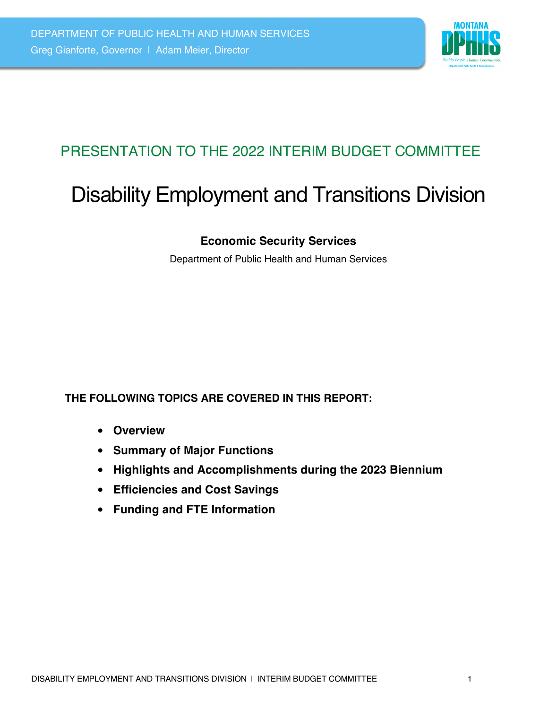

# PRESENTATION TO THE 2022 INTERIM BUDGET COMMITTEE

# Disability Employment and Transitions Division

### **Economic Security Services**

Department of Public Health and Human Services

#### **THE FOLLOWING TOPICS ARE COVERED IN THIS REPORT:**

- **Overview**
- **Summary of Major Functions**
- **Highlights and Accomplishments during the 2023 Biennium**
- **Efficiencies and Cost Savings**
- **Funding and FTE Information**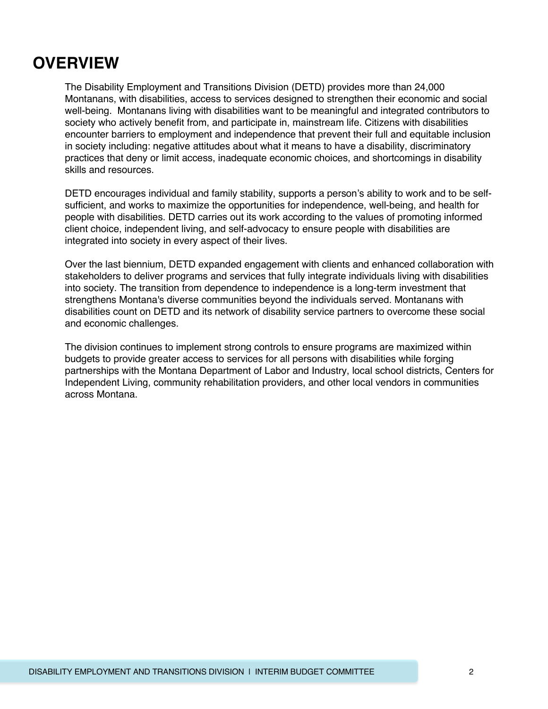# **OVERVIEW**

The Disability Employment and Transitions Division (DETD) provides more than 24,000 Montanans, with disabilities, access to services designed to strengthen their economic and social well-being. Montanans living with disabilities want to be meaningful and integrated contributors to society who actively benefit from, and participate in, mainstream life. Citizens with disabilities encounter barriers to employment and independence that prevent their full and equitable inclusion in society including: negative attitudes about what it means to have a disability, discriminatory practices that deny or limit access, inadequate economic choices, and shortcomings in disability skills and resources.

DETD encourages individual and family stability, supports a person's ability to work and to be selfsufficient, and works to maximize the opportunities for independence, well-being, and health for people with disabilities. DETD carries out its work according to the values of promoting informed client choice, independent living, and self-advocacy to ensure people with disabilities are integrated into society in every aspect of their lives.

Over the last biennium, DETD expanded engagement with clients and enhanced collaboration with stakeholders to deliver programs and services that fully integrate individuals living with disabilities into society. The transition from dependence to independence is a long-term investment that strengthens Montana's diverse communities beyond the individuals served. Montanans with disabilities count on DETD and its network of disability service partners to overcome these social and economic challenges.

The division continues to implement strong controls to ensure programs are maximized within budgets to provide greater access to services for all persons with disabilities while forging partnerships with the Montana Department of Labor and Industry, local school districts, Centers for Independent Living, community rehabilitation providers, and other local vendors in communities across Montana.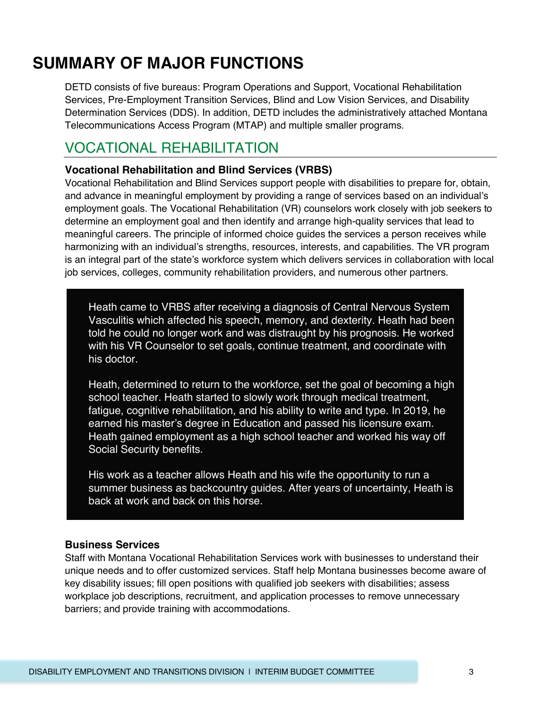# **SUMMARY OF MAJOR FUNCTIONS**

DETD consists of five bureaus: Program Operations and Support, Vocational Rehabilitation Services, Pre-Employment Transition Services, Blind and Low Vision Services, and Disability Determination Services (DDS). In addition, DETD includes the administratively attached Montana Telecommunications Access Program (MTAP) and multiple smaller programs.

### VOCATIONAL REHABILITATION

#### **Vocational Rehabilitation and Blind Services (VRBS)**

Vocational Rehabilitation and Blind Services support people with disabilities to prepare for, obtain, and advance in meaningful employment by providing a range of services based on an individual's employment goals. The Vocational Rehabilitation (VR) counselors work closely with job seekers to determine an employment goal and then identify and arrange high-quality services that lead to meaningful careers. The principle of informed choice guides the services a person receives while harmonizing with an individual's strengths, resources, interests, and capabilities. The VR program is an integral part of the state's workforce system which delivers services in collaboration with local job services, colleges, community rehabilitation providers, and numerous other partners.

Heath came to VRBS after receiving a diagnosis of Central Nervous System Vasculitis which affected his speech, memory, and dexterity. Heath had been told he could no longer work and was distraught by his prognosis. He worked with his VR Counselor to set goals, continue treatment, and coordinate with his doctor.

Heath, determined to return to the workforce, set the goal of becoming a high school teacher. Heath started to slowly work through medical treatment, fatigue, cognitive rehabilitation, and his ability to write and type. In 2019, he earned his master's degree in Education and passed his licensure exam. Heath gained employment as a high school teacher and worked his way off Social Security benefits.

His work as a teacher allows Heath and his wife the opportunity to run a summer business as backcountry guides. After years of uncertainty, Heath is back at work and back on this horse.

#### **Business Services**

Staff with Montana Vocational Rehabilitation Services work with businesses to understand their unique needs and to offer customized services. Staff help Montana businesses become aware of key disability issues; fill open positions with qualified job seekers with disabilities; assess workplace job descriptions, recruitment, and application processes to remove unnecessary barriers; and provide training with accommodations.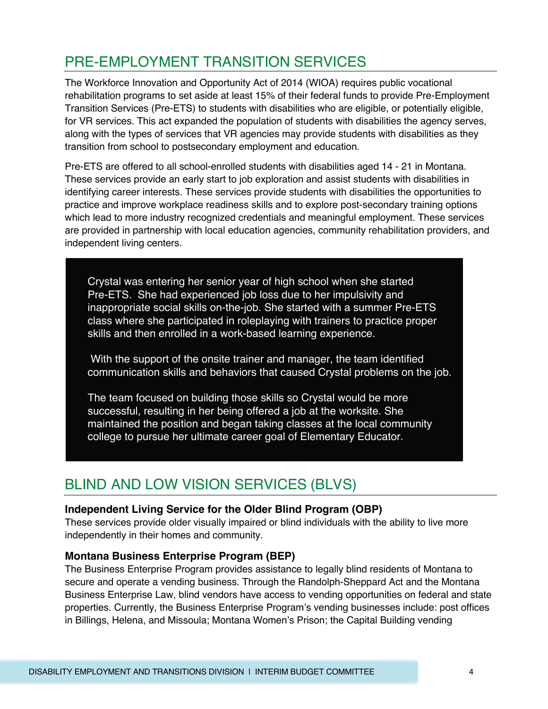# PRE-EMPLOYMENT TRANSITION SERVICES

The Workforce Innovation and Opportunity Act of 2014 (WIOA) requires public vocational rehabilitation programs to set aside at least 15% of their federal funds to provide Pre-Employment Transition Services (Pre-ETS) to students with disabilities who are eligible, or potentially eligible, for VR services. This act expanded the population of students with disabilities the agency serves, along with the types of services that VR agencies may provide students with disabilities as they transition from school to postsecondary employment and education.

Pre-ETS are offered to all school-enrolled students with disabilities aged 14 - 21 in Montana. These services provide an early start to job exploration and assist students with disabilities in identifying career interests. These services provide students with disabilities the opportunities to practice and improve workplace readiness skills and to explore post-secondary training options which lead to more industry recognized credentials and meaningful employment. These services are provided in partnership with local education agencies, community rehabilitation providers, and independent living centers.

Crystal was entering her senior year of high school when she started Pre-ETS. She had experienced job loss due to her impulsivity and inappropriate social skills on-the-job. She started with a summer Pre-ETS class where she participated in roleplaying with trainers to practice proper skills and then enrolled in a work-based learning experience.

With the support of the onsite trainer and manager, the team identified communication skills and behaviors that caused Crystal problems on the job.

The team focused on building those skills so Crystal would be more successful, resulting in her being offered a job at the worksite. She maintained the position and began taking classes at the local community college to pursue her ultimate career goal of Elementary Educator.

### BLIND AND LOW VISION SERVICES (BLVS)

#### **Independent Living Service for the Older Blind Program (OBP)**

These services provide older visually impaired or blind individuals with the ability to live more independently in their homes and community.

#### **Montana Business Enterprise Program (BEP)**

The Business Enterprise Program provides assistance to legally blind residents of Montana to secure and operate a vending business. Through the Randolph-Sheppard Act and the Montana Business Enterprise Law, blind vendors have access to vending opportunities on federal and state properties. Currently, the Business Enterprise Program's vending businesses include: post offices in Billings, Helena, and Missoula; Montana Women's Prison; the Capital Building vending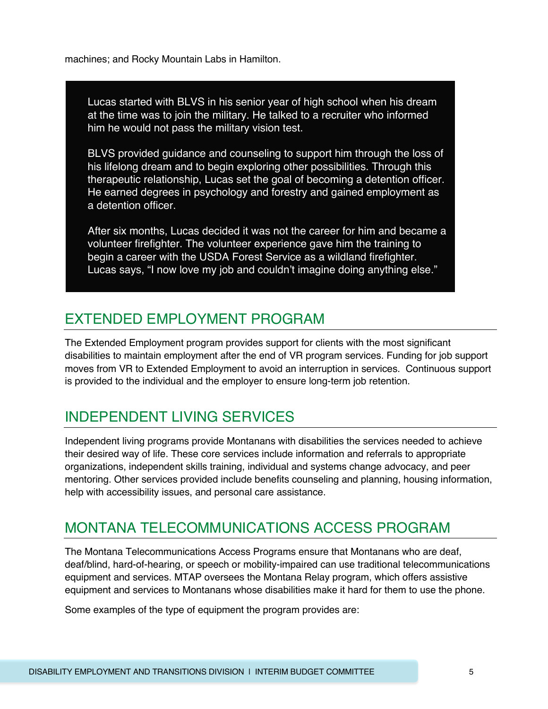machines; and Rocky Mountain Labs in Hamilton.

Lucas started with BLVS in his senior year of high school when his dream at the time was to join the military. He talked to a recruiter who informed him he would not pass the military vision test.

BLVS provided guidance and counseling to support him through the loss of his lifelong dream and to begin exploring other possibilities. Through this therapeutic relationship, Lucas set the goal of becoming a detention officer. He earned degrees in psychology and forestry and gained employment as a detention officer.

After six months, Lucas decided it was not the career for him and became a volunteer firefighter. The volunteer experience gave him the training to begin a career with the USDA Forest Service as a wildland firefighter. Lucas says, "I now love my job and couldn't imagine doing anything else."

### EXTENDED EMPLOYMENT PROGRAM

The Extended Employment program provides support for clients with the most significant disabilities to maintain employment after the end of VR program services. Funding for job support moves from VR to Extended Employment to avoid an interruption in services. Continuous support is provided to the individual and the employer to ensure long-term job retention.

## INDEPENDENT LIVING SERVICES

Independent living programs provide Montanans with disabilities the services needed to achieve their desired way of life. These core services include information and referrals to appropriate organizations, independent skills training, individual and systems change advocacy, and peer mentoring. Other services provided include benefits counseling and planning, housing information, help with accessibility issues, and personal care assistance.

### MONTANA TELECOMMUNICATIONS ACCESS PROGRAM

The Montana Telecommunications Access Programs ensure that Montanans who are deaf, deaf/blind, hard-of-hearing, or speech or mobility-impaired can use traditional telecommunications equipment and services. MTAP oversees the Montana Relay program, which offers assistive equipment and services to Montanans whose disabilities make it hard for them to use the phone.

Some examples of the type of equipment the program provides are: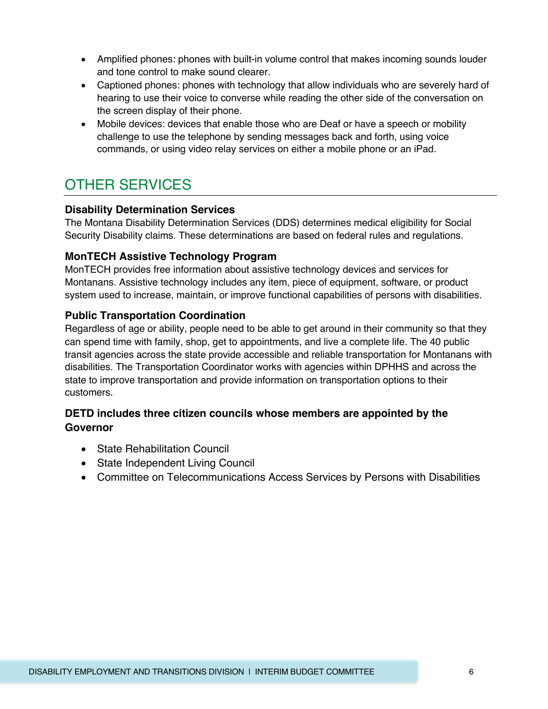- Amplified phones: phones with built-in volume control that makes incoming sounds louder and tone control to make sound clearer.
- Captioned phones: phones with technology that allow individuals who are severely hard of hearing to use their voice to converse while reading the other side of the conversation on the screen display of their phone.
- Mobile devices: devices that enable those who are Deaf or have a speech or mobility challenge to use the telephone by sending messages back and forth, using voice commands, or using video relay services on either a mobile phone or an iPad.

# OTHER SERVICES

#### **Disability Determination Services**

The Montana Disability Determination Services (DDS) determines medical eligibility for Social Security Disability claims. These determinations are based on federal rules and regulations.

#### **MonTECH Assistive Technology Program**

MonTECH provides free information about assistive technology devices and services for Montanans. Assistive technology includes any item, piece of equipment, software, or product system used to increase, maintain, or improve functional capabilities of persons with disabilities.

#### **Public Transportation Coordination**

Regardless of age or ability, people need to be able to get around in their community so that they can spend time with family, shop, get to appointments, and live a complete life. The 40 public transit agencies across the state provide accessible and reliable transportation for Montanans with disabilities. The Transportation Coordinator works with agencies within DPHHS and across the state to improve transportation and provide information on transportation options to their customers.

#### **DETD includes three citizen councils whose members are appointed by the Governor**

- State Rehabilitation Council
- State Independent Living Council
- Committee on Telecommunications Access Services by Persons with Disabilities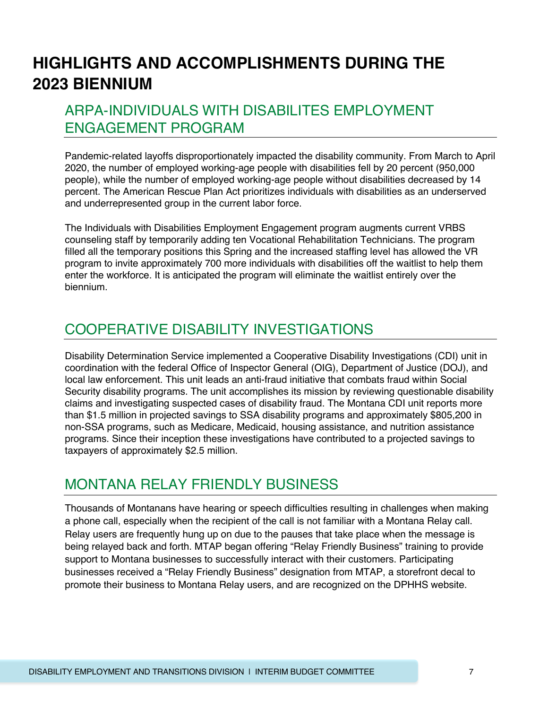# **HIGHLIGHTS AND ACCOMPLISHMENTS DURING THE 2023 BIENNIUM**

## ARPA-INDIVIDUALS WITH DISABILITES EMPLOYMENT ENGAGEMENT PROGRAM

Pandemic-related layoffs disproportionately impacted the disability community. From March to April 2020, the number of employed working-age people with disabilities fell by 20 percent (950,000 people), while the number of employed working-age people without disabilities decreased by 14 percent. The American Rescue Plan Act prioritizes individuals with disabilities as an underserved and underrepresented group in the current labor force.

The Individuals with Disabilities Employment Engagement program augments current VRBS counseling staff by temporarily adding ten Vocational Rehabilitation Technicians. The program filled all the temporary positions this Spring and the increased staffing level has allowed the VR program to invite approximately 700 more individuals with disabilities off the waitlist to help them enter the workforce. It is anticipated the program will eliminate the waitlist entirely over the biennium.

### COOPERATIVE DISABILITY INVESTIGATIONS

Disability Determination Service implemented a Cooperative Disability Investigations (CDI) unit in coordination with the federal Office of Inspector General (OIG), Department of Justice (DOJ), and local law enforcement. This unit leads an anti-fraud initiative that combats fraud within Social Security disability programs. The unit accomplishes its mission by reviewing questionable disability claims and investigating suspected cases of disability fraud. The Montana CDI unit reports more than \$1.5 million in projected savings to SSA disability programs and approximately \$805,200 in non-SSA programs, such as Medicare, Medicaid, housing assistance, and nutrition assistance programs. Since their inception these investigations have contributed to a projected savings to taxpayers of approximately \$2.5 million.

### MONTANA RELAY FRIENDLY BUSINESS

Thousands of Montanans have hearing or speech difficulties resulting in challenges when making a phone call, especially when the recipient of the call is not familiar with a Montana Relay call. Relay users are frequently hung up on due to the pauses that take place when the message is being relayed back and forth. MTAP began offering "Relay Friendly Business" training to provide support to Montana businesses to successfully interact with their customers. Participating businesses received a "Relay Friendly Business" designation from MTAP, a storefront decal to promote their business to Montana Relay users, and are recognized on the DPHHS website.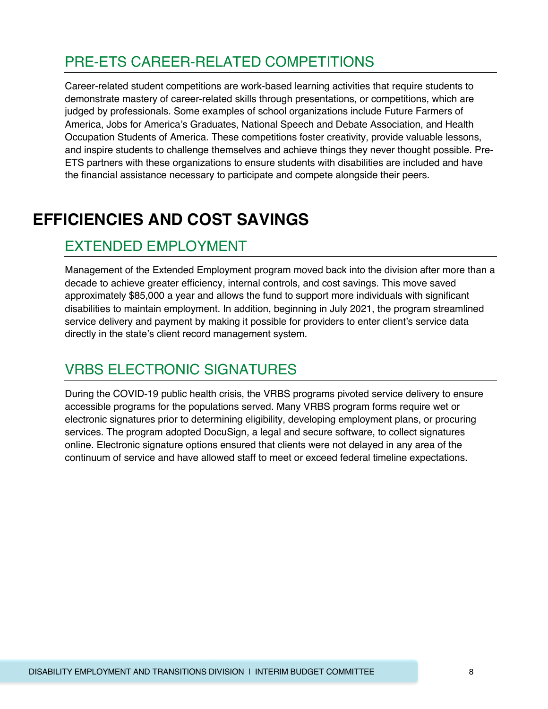# PRE-ETS CAREER-RELATED COMPETITIONS

Career-related student competitions are work-based learning activities that require students to demonstrate mastery of career-related skills through presentations, or competitions, which are judged by professionals. Some examples of school organizations include Future Farmers of America, Jobs for America's Graduates, National Speech and Debate Association, and Health Occupation Students of America. These competitions foster creativity, provide valuable lessons, and inspire students to challenge themselves and achieve things they never thought possible. Pre-ETS partners with these organizations to ensure students with disabilities are included and have the financial assistance necessary to participate and compete alongside their peers.

# **EFFICIENCIES AND COST SAVINGS**

### EXTENDED EMPLOYMENT

Management of the Extended Employment program moved back into the division after more than a decade to achieve greater efficiency, internal controls, and cost savings. This move saved approximately \$85,000 a year and allows the fund to support more individuals with significant disabilities to maintain employment. In addition, beginning in July 2021, the program streamlined service delivery and payment by making it possible for providers to enter client's service data directly in the state's client record management system.

### VRBS ELECTRONIC SIGNATURES

During the COVID-19 public health crisis, the VRBS programs pivoted service delivery to ensure accessible programs for the populations served. Many VRBS program forms require wet or electronic signatures prior to determining eligibility, developing employment plans, or procuring services. The program adopted DocuSign, a legal and secure software, to collect signatures online. Electronic signature options ensured that clients were not delayed in any area of the continuum of service and have allowed staff to meet or exceed federal timeline expectations.